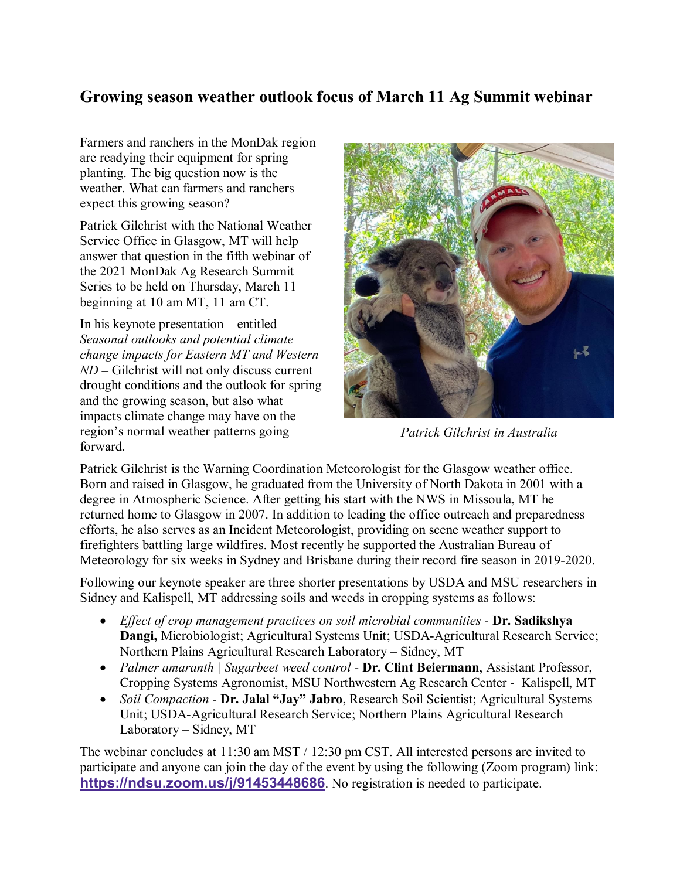## **Growing season weather outlook focus of March 11 Ag Summit webinar**

Farmers and ranchers in the MonDak region are readying their equipment for spring planting. The big question now is the weather. What can farmers and ranchers expect this growing season?

Patrick Gilchrist with the National Weather Service Office in Glasgow, MT will help answer that question in the fifth webinar of the 2021 MonDak Ag Research Summit Series to be held on Thursday, March 11 beginning at 10 am MT, 11 am CT.

In his keynote presentation – entitled *Seasonal outlooks and potential climate change impacts for Eastern MT and Western ND* – Gilchrist will not only discuss current drought conditions and the outlook for spring and the growing season, but also what impacts climate change may have on the region's normal weather patterns going forward.



*Patrick Gilchrist in Australia*

Patrick Gilchrist is the Warning Coordination Meteorologist for the Glasgow weather office. Born and raised in Glasgow, he graduated from the University of North Dakota in 2001 with a degree in Atmospheric Science. After getting his start with the NWS in Missoula, MT he returned home to Glasgow in 2007. In addition to leading the office outreach and preparedness efforts, he also serves as an Incident Meteorologist, providing on scene weather support to firefighters battling large wildfires. Most recently he supported the Australian Bureau of Meteorology for six weeks in Sydney and Brisbane during their record fire season in 2019-2020.

Following our keynote speaker are three shorter presentations by USDA and MSU researchers in Sidney and Kalispell, MT addressing soils and weeds in cropping systems as follows:

- *Effect of crop management practices on soil microbial communities -* **Dr. Sadikshya Dangi,** Microbiologist; Agricultural Systems Unit; USDA-Agricultural Research Service; Northern Plains Agricultural Research Laboratory – Sidney, MT
- *Palmer amaranth | Sugarbeet weed control -* **Dr. Clint Beiermann**, Assistant Professor, Cropping Systems Agronomist, MSU Northwestern Ag Research Center - Kalispell, MT
- *Soil Compaction -* **Dr. Jalal "Jay" Jabro**, Research Soil Scientist; Agricultural Systems Unit; USDA-Agricultural Research Service; Northern Plains Agricultural Research Laboratory – Sidney, MT

The webinar concludes at 11:30 am MST / 12:30 pm CST. All interested persons are invited to participate and anyone can join the day of the event by using the following (Zoom program) link: **[https://ndsu.zoom.us/j/91453448686](https://gcc02.safelinks.protection.outlook.com/?url=https%3A%2F%2Fndsu.zoom.us%2Fj%2F91453448686&data=04%7C01%7C%7C22b3bbcaa7f2405cc9c208d8adbc6989%7Ced5b36e701ee4ebc867ee03cfa0d4697%7C0%7C0%7C637450372026386760%7CUnknown%7CTWFpbGZsb3d8eyJWIjoiMC4wLjAwMDAiLCJQIjoiV2luMzIiLCJBTiI6Ik1haWwiLCJXVCI6Mn0%3D%7C1000&sdata=Z%2BY0zr54CO6FF0UCIHT%2FyUV6FyJcHFWDgahaPlcKqF8%3D&reserved=0)**. No registration is needed to participate.